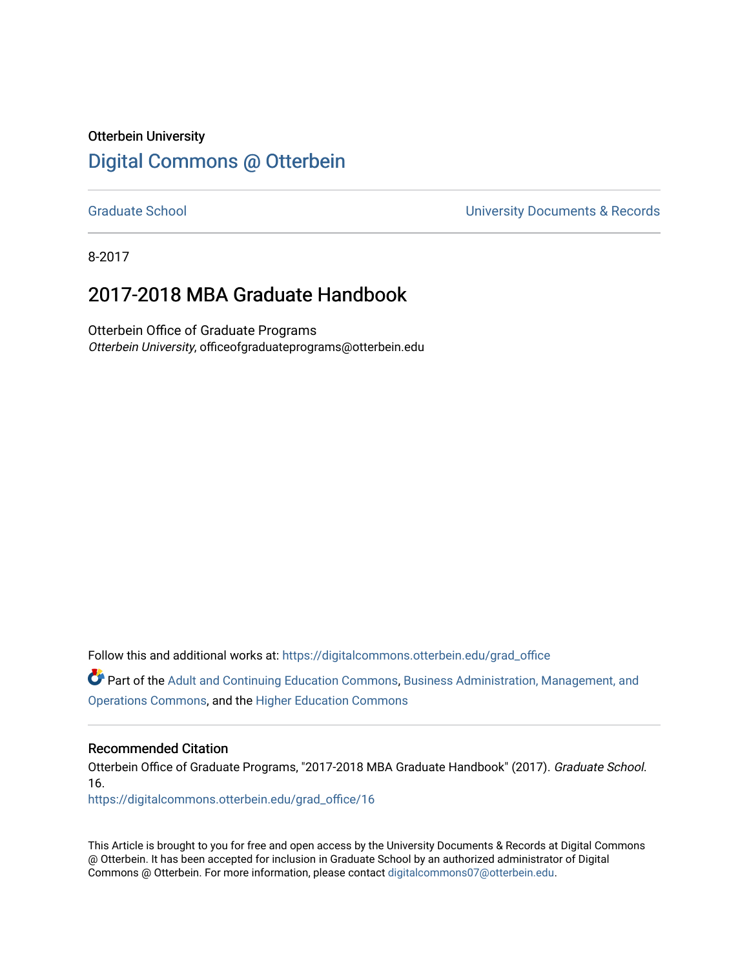# Otterbein University [Digital Commons @ Otterbein](https://digitalcommons.otterbein.edu/)

[Graduate School](https://digitalcommons.otterbein.edu/grad_office) **Calculation Controller Controller Controller Controller University Documents & Records** 

8-2017

# 2017-2018 MBA Graduate Handbook

Otterbein Office of Graduate Programs Otterbein University, officeofgraduateprograms@otterbein.edu

Follow this and additional works at: [https://digitalcommons.otterbein.edu/grad\\_office](https://digitalcommons.otterbein.edu/grad_office?utm_source=digitalcommons.otterbein.edu%2Fgrad_office%2F16&utm_medium=PDF&utm_campaign=PDFCoverPages)

Part of the [Adult and Continuing Education Commons,](http://network.bepress.com/hgg/discipline/1375?utm_source=digitalcommons.otterbein.edu%2Fgrad_office%2F16&utm_medium=PDF&utm_campaign=PDFCoverPages) [Business Administration, Management, and](http://network.bepress.com/hgg/discipline/623?utm_source=digitalcommons.otterbein.edu%2Fgrad_office%2F16&utm_medium=PDF&utm_campaign=PDFCoverPages)  [Operations Commons](http://network.bepress.com/hgg/discipline/623?utm_source=digitalcommons.otterbein.edu%2Fgrad_office%2F16&utm_medium=PDF&utm_campaign=PDFCoverPages), and the [Higher Education Commons](http://network.bepress.com/hgg/discipline/1245?utm_source=digitalcommons.otterbein.edu%2Fgrad_office%2F16&utm_medium=PDF&utm_campaign=PDFCoverPages) 

#### Recommended Citation

Otterbein Office of Graduate Programs, "2017-2018 MBA Graduate Handbook" (2017). Graduate School. 16.

[https://digitalcommons.otterbein.edu/grad\\_office/16](https://digitalcommons.otterbein.edu/grad_office/16?utm_source=digitalcommons.otterbein.edu%2Fgrad_office%2F16&utm_medium=PDF&utm_campaign=PDFCoverPages) 

This Article is brought to you for free and open access by the University Documents & Records at Digital Commons @ Otterbein. It has been accepted for inclusion in Graduate School by an authorized administrator of Digital Commons @ Otterbein. For more information, please contact [digitalcommons07@otterbein.edu](mailto:digitalcommons07@otterbein.edu).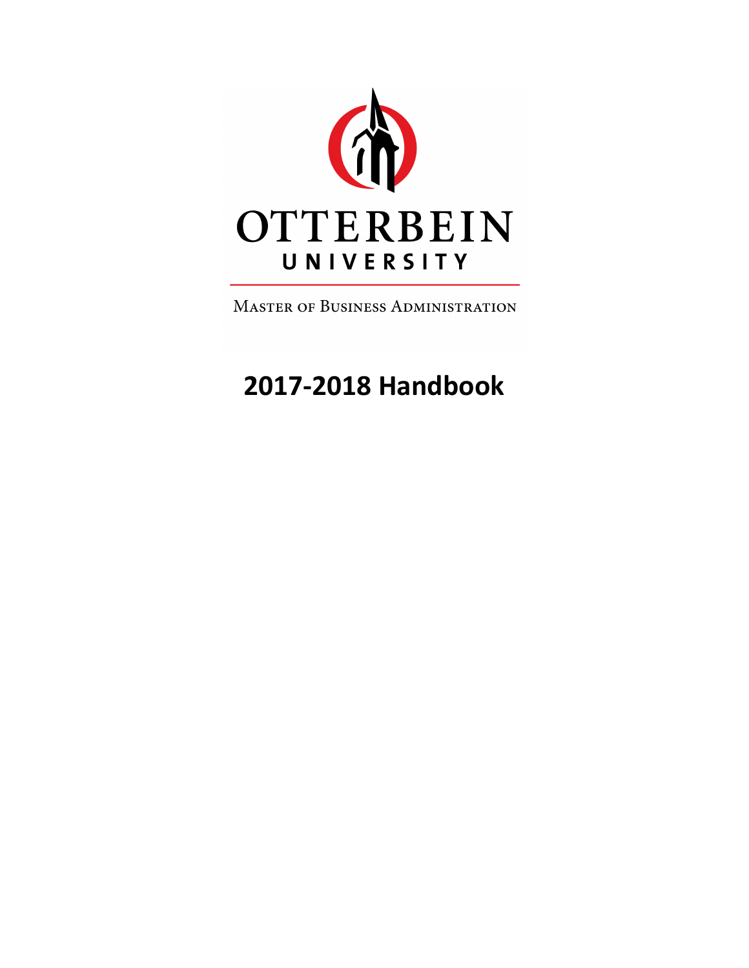

**MASTER OF BUSINESS ADMINISTRATION** 

# **2017-2018 Handbook**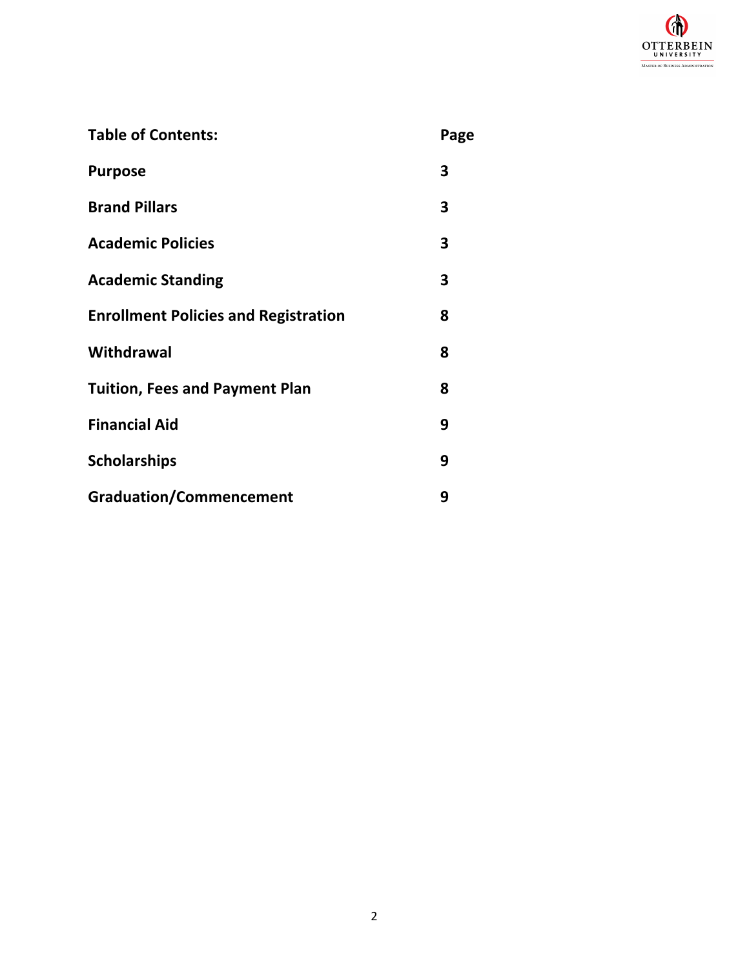

| <b>Table of Contents:</b>                   | Page |
|---------------------------------------------|------|
| <b>Purpose</b>                              | 3    |
| <b>Brand Pillars</b>                        | 3    |
| <b>Academic Policies</b>                    | 3    |
| <b>Academic Standing</b>                    | 3    |
| <b>Enrollment Policies and Registration</b> | 8    |
| Withdrawal                                  | 8    |
| <b>Tuition, Fees and Payment Plan</b>       | 8    |
| <b>Financial Aid</b>                        | 9    |
| <b>Scholarships</b>                         | 9    |
| <b>Graduation/Commencement</b>              | 9    |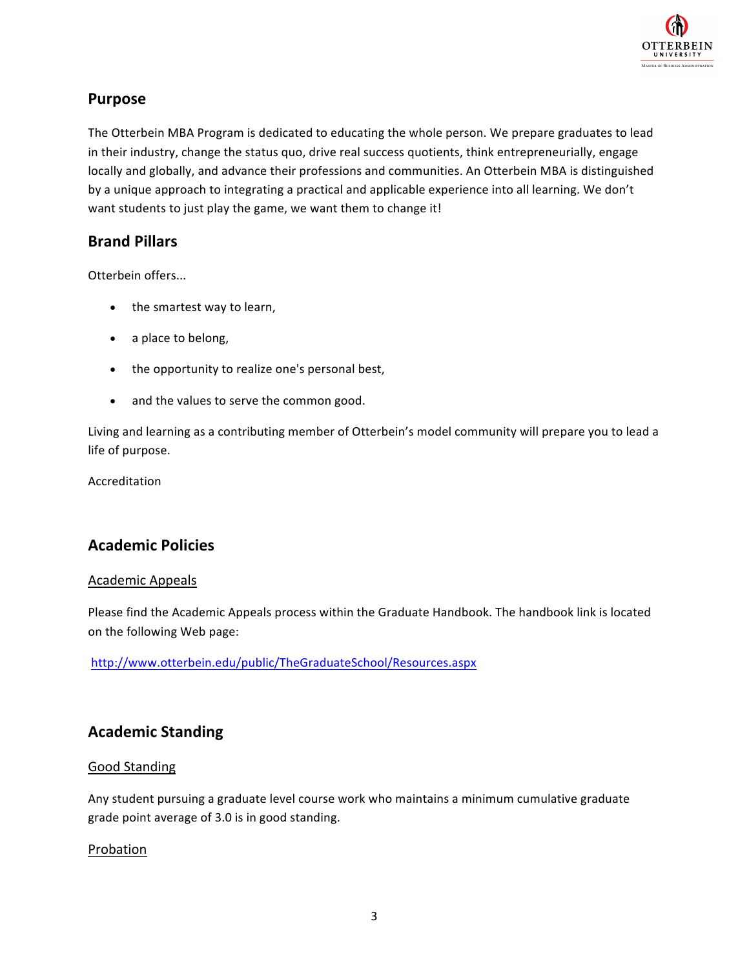

## **Purpose**

The Otterbein MBA Program is dedicated to educating the whole person. We prepare graduates to lead in their industry, change the status quo, drive real success quotients, think entrepreneurially, engage locally and globally, and advance their professions and communities. An Otterbein MBA is distinguished by a unique approach to integrating a practical and applicable experience into all learning. We don't want students to just play the game, we want them to change it!

### **Brand Pillars**

Otterbein offers...

- the smartest way to learn,
- a place to belong,
- the opportunity to realize one's personal best,
- and the values to serve the common good.

Living and learning as a contributing member of Otterbein's model community will prepare you to lead a life of purpose.

Accreditation

# **Academic Policies**

#### Academic Appeals

Please find the Academic Appeals process within the Graduate Handbook. The handbook link is located on the following Web page:

http://www.otterbein.edu/public/TheGraduateSchool/Resources.aspx 

# **Academic Standing**

#### Good Standing

Any student pursuing a graduate level course work who maintains a minimum cumulative graduate grade point average of 3.0 is in good standing.

#### Probation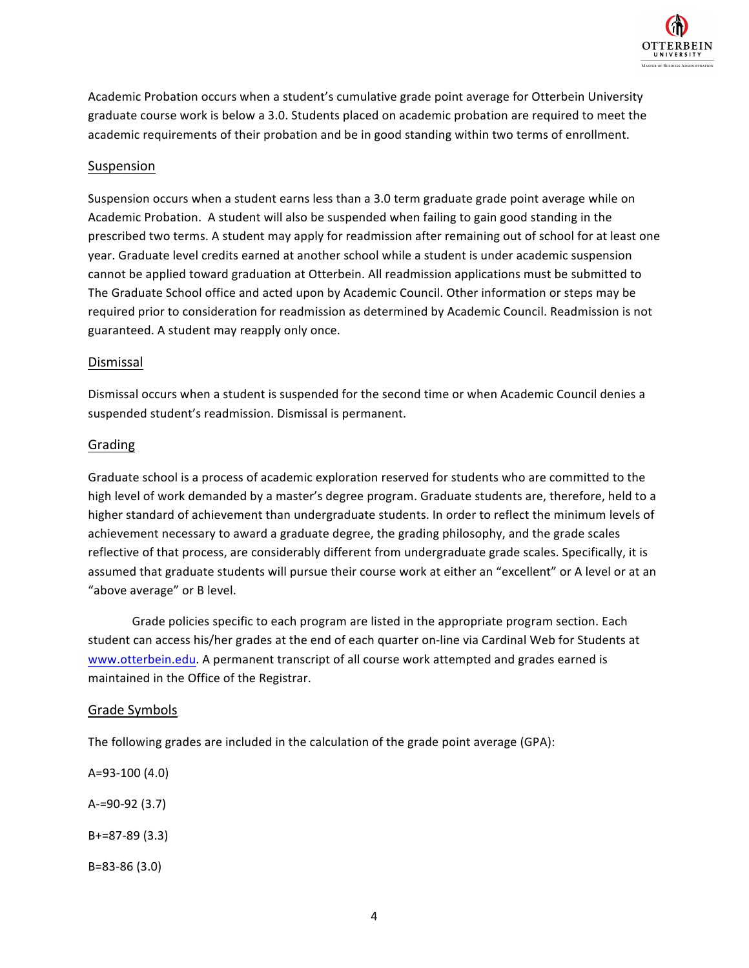

Academic Probation occurs when a student's cumulative grade point average for Otterbein University graduate course work is below a 3.0. Students placed on academic probation are required to meet the academic requirements of their probation and be in good standing within two terms of enrollment.

#### Suspension

Suspension occurs when a student earns less than a 3.0 term graduate grade point average while on Academic Probation. A student will also be suspended when failing to gain good standing in the prescribed two terms. A student may apply for readmission after remaining out of school for at least one year. Graduate level credits earned at another school while a student is under academic suspension cannot be applied toward graduation at Otterbein. All readmission applications must be submitted to The Graduate School office and acted upon by Academic Council. Other information or steps may be required prior to consideration for readmission as determined by Academic Council. Readmission is not guaranteed. A student may reapply only once.

#### Dismissal

Dismissal occurs when a student is suspended for the second time or when Academic Council denies a suspended student's readmission. Dismissal is permanent.

#### Grading

Graduate school is a process of academic exploration reserved for students who are committed to the high level of work demanded by a master's degree program. Graduate students are, therefore, held to a higher standard of achievement than undergraduate students. In order to reflect the minimum levels of achievement necessary to award a graduate degree, the grading philosophy, and the grade scales reflective of that process, are considerably different from undergraduate grade scales. Specifically, it is assumed that graduate students will pursue their course work at either an "excellent" or A level or at an "above average" or B level.

Grade policies specific to each program are listed in the appropriate program section. Each student can access his/her grades at the end of each quarter on-line via Cardinal Web for Students at www.otterbein.edu. A permanent transcript of all course work attempted and grades earned is maintained in the Office of the Registrar.

#### Grade Symbols

The following grades are included in the calculation of the grade point average  $(GPA)$ :

A=93-100 (4.0) A-=90-92 (3.7)  $B+=87-89(3.3)$ 

B=83-86 (3.0)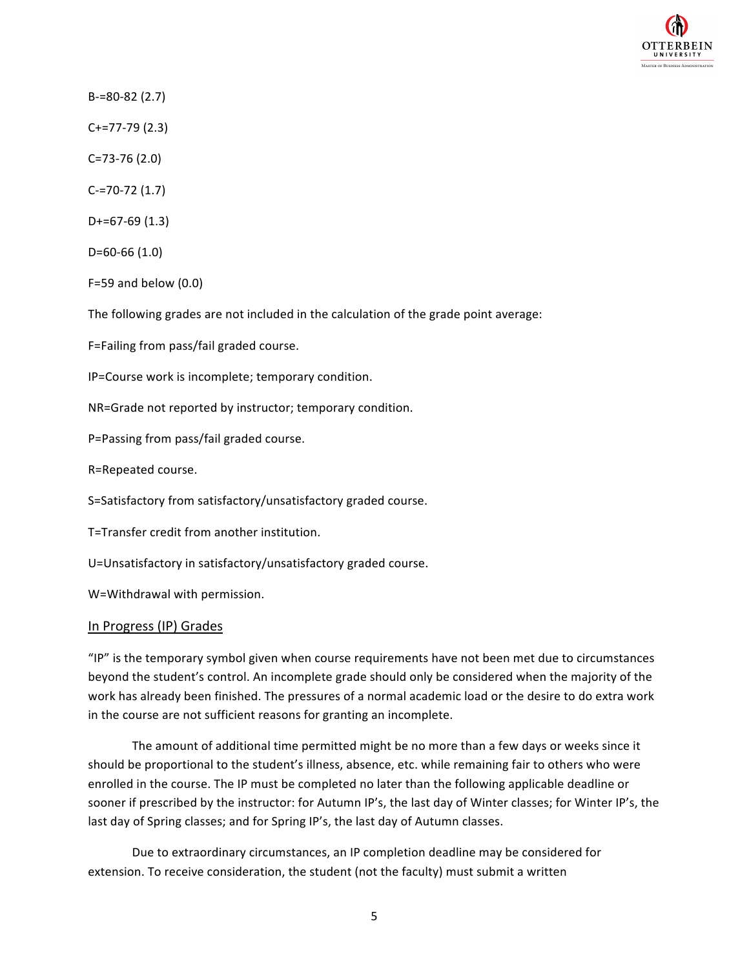

B-=80-82 (2.7)

C+=77-79 (2.3)

- C=73-76 (2.0)
- C-=70-72 (1.7)
- D+=67-69 (1.3)

D=60-66 (1.0)

 $F=59$  and below  $(0.0)$ 

The following grades are not included in the calculation of the grade point average:

F=Failing from pass/fail graded course.

IP=Course work is incomplete; temporary condition.

NR=Grade not reported by instructor; temporary condition.

P=Passing from pass/fail graded course.

R=Repeated course.

S=Satisfactory from satisfactory/unsatisfactory graded course.

T=Transfer credit from another institution.

U=Unsatisfactory in satisfactory/unsatisfactory graded course.

W=Withdrawal with permission.

#### In Progress (IP) Grades

"IP" is the temporary symbol given when course requirements have not been met due to circumstances beyond the student's control. An incomplete grade should only be considered when the majority of the work has already been finished. The pressures of a normal academic load or the desire to do extra work in the course are not sufficient reasons for granting an incomplete.

The amount of additional time permitted might be no more than a few days or weeks since it should be proportional to the student's illness, absence, etc. while remaining fair to others who were enrolled in the course. The IP must be completed no later than the following applicable deadline or sooner if prescribed by the instructor: for Autumn IP's, the last day of Winter classes; for Winter IP's, the last day of Spring classes; and for Spring IP's, the last day of Autumn classes.

Due to extraordinary circumstances, an IP completion deadline may be considered for extension. To receive consideration, the student (not the faculty) must submit a written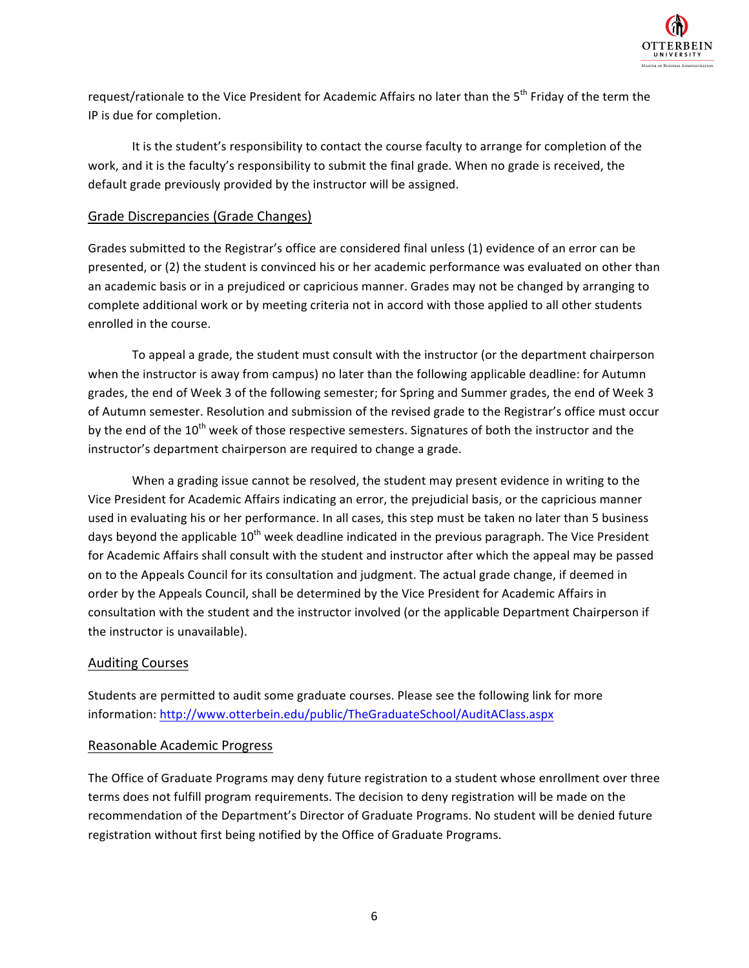

request/rationale to the Vice President for Academic Affairs no later than the 5<sup>th</sup> Friday of the term the IP is due for completion.

It is the student's responsibility to contact the course faculty to arrange for completion of the work, and it is the faculty's responsibility to submit the final grade. When no grade is received, the default grade previously provided by the instructor will be assigned.

#### Grade Discrepancies (Grade Changes)

Grades submitted to the Registrar's office are considered final unless (1) evidence of an error can be presented, or (2) the student is convinced his or her academic performance was evaluated on other than an academic basis or in a prejudiced or capricious manner. Grades may not be changed by arranging to complete additional work or by meeting criteria not in accord with those applied to all other students enrolled in the course.

To appeal a grade, the student must consult with the instructor (or the department chairperson when the instructor is away from campus) no later than the following applicable deadline: for Autumn grades, the end of Week 3 of the following semester; for Spring and Summer grades, the end of Week 3 of Autumn semester. Resolution and submission of the revised grade to the Registrar's office must occur by the end of the  $10^{th}$  week of those respective semesters. Signatures of both the instructor and the instructor's department chairperson are required to change a grade.

When a grading issue cannot be resolved, the student may present evidence in writing to the Vice President for Academic Affairs indicating an error, the prejudicial basis, or the capricious manner used in evaluating his or her performance. In all cases, this step must be taken no later than 5 business days beyond the applicable  $10^{th}$  week deadline indicated in the previous paragraph. The Vice President for Academic Affairs shall consult with the student and instructor after which the appeal may be passed on to the Appeals Council for its consultation and judgment. The actual grade change, if deemed in order by the Appeals Council, shall be determined by the Vice President for Academic Affairs in consultation with the student and the instructor involved (or the applicable Department Chairperson if the instructor is unavailable).

#### Auditing Courses

Students are permitted to audit some graduate courses. Please see the following link for more information: http://www.otterbein.edu/public/TheGraduateSchool/AuditAClass.aspx

#### Reasonable Academic Progress

The Office of Graduate Programs may deny future registration to a student whose enrollment over three terms does not fulfill program requirements. The decision to deny registration will be made on the recommendation of the Department's Director of Graduate Programs. No student will be denied future registration without first being notified by the Office of Graduate Programs.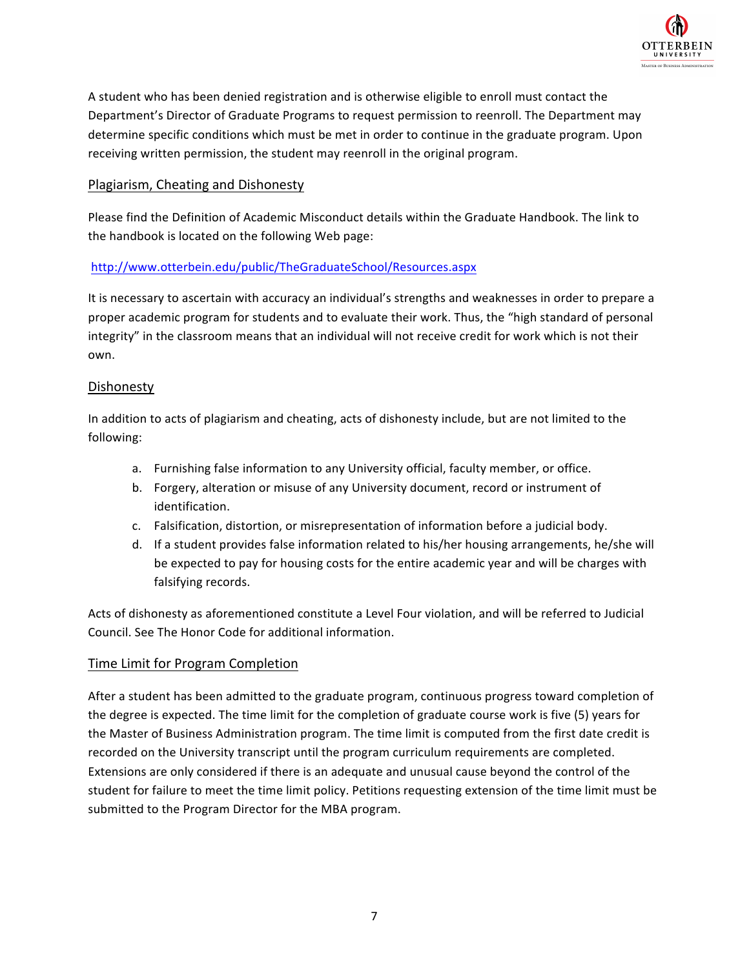

A student who has been denied registration and is otherwise eligible to enroll must contact the Department's Director of Graduate Programs to request permission to reenroll. The Department may determine specific conditions which must be met in order to continue in the graduate program. Upon receiving written permission, the student may reenroll in the original program.

#### Plagiarism, Cheating and Dishonesty

Please find the Definition of Academic Misconduct details within the Graduate Handbook. The link to the handbook is located on the following Web page:

#### http://www.otterbein.edu/public/TheGraduateSchool/Resources.aspx

It is necessary to ascertain with accuracy an individual's strengths and weaknesses in order to prepare a proper academic program for students and to evaluate their work. Thus, the "high standard of personal integrity" in the classroom means that an individual will not receive credit for work which is not their own.

#### Dishonesty

In addition to acts of plagiarism and cheating, acts of dishonesty include, but are not limited to the following: 

- a. Furnishing false information to any University official, faculty member, or office.
- b. Forgery, alteration or misuse of any University document, record or instrument of identification.
- c. Falsification, distortion, or misrepresentation of information before a judicial body.
- d. If a student provides false information related to his/her housing arrangements, he/she will be expected to pay for housing costs for the entire academic year and will be charges with falsifying records.

Acts of dishonesty as aforementioned constitute a Level Four violation, and will be referred to Judicial Council. See The Honor Code for additional information.

#### Time Limit for Program Completion

After a student has been admitted to the graduate program, continuous progress toward completion of the degree is expected. The time limit for the completion of graduate course work is five (5) years for the Master of Business Administration program. The time limit is computed from the first date credit is recorded on the University transcript until the program curriculum requirements are completed. Extensions are only considered if there is an adequate and unusual cause beyond the control of the student for failure to meet the time limit policy. Petitions requesting extension of the time limit must be submitted to the Program Director for the MBA program.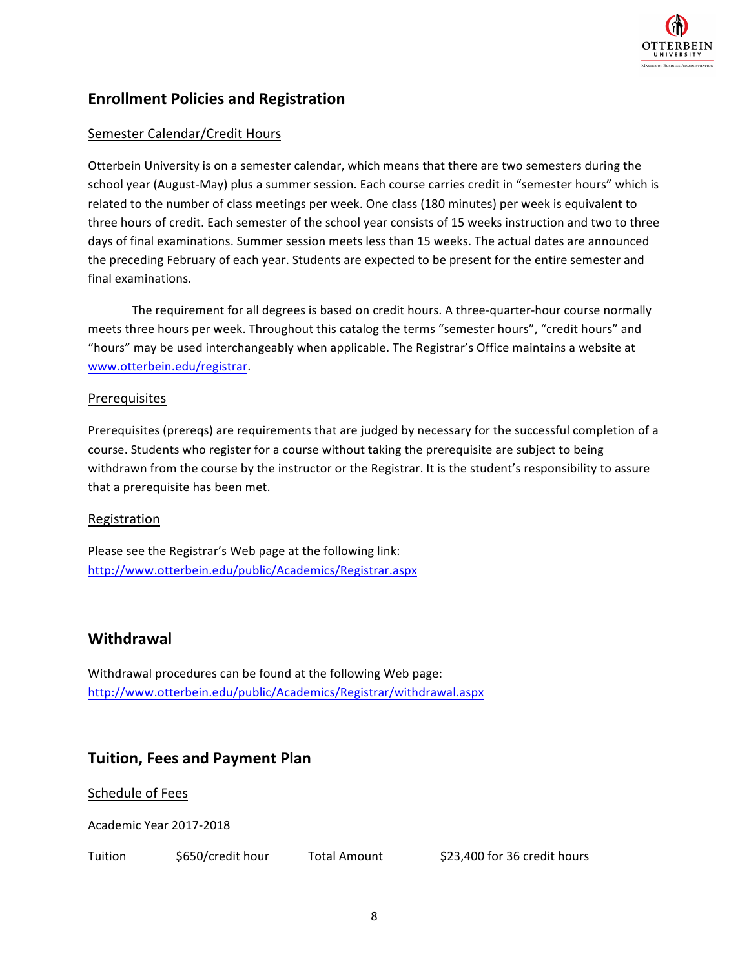

# **Enrollment Policies and Registration**

#### Semester Calendar/Credit Hours

Otterbein University is on a semester calendar, which means that there are two semesters during the school year (August-May) plus a summer session. Each course carries credit in "semester hours" which is related to the number of class meetings per week. One class (180 minutes) per week is equivalent to three hours of credit. Each semester of the school year consists of 15 weeks instruction and two to three days of final examinations. Summer session meets less than 15 weeks. The actual dates are announced the preceding February of each year. Students are expected to be present for the entire semester and final examinations.

The requirement for all degrees is based on credit hours. A three-quarter-hour course normally meets three hours per week. Throughout this catalog the terms "semester hours", "credit hours" and "hours" may be used interchangeably when applicable. The Registrar's Office maintains a website at www.otterbein.edu/registrar. 

#### **Prerequisites**

Prerequisites (prereqs) are requirements that are judged by necessary for the successful completion of a course. Students who register for a course without taking the prerequisite are subject to being withdrawn from the course by the instructor or the Registrar. It is the student's responsibility to assure that a prerequisite has been met.

#### Registration

Please see the Registrar's Web page at the following link: http://www.otterbein.edu/public/Academics/Registrar.aspx

#### **Withdrawal**

Withdrawal procedures can be found at the following Web page: http://www.otterbein.edu/public/Academics/Registrar/withdrawal.aspx

# **Tuition, Fees and Payment Plan**

Schedule of Fees

Academic Year 2017-2018

Tuition  $\frac{1}{5650}$ /credit hour Total Amount \$23,400 for 36 credit hours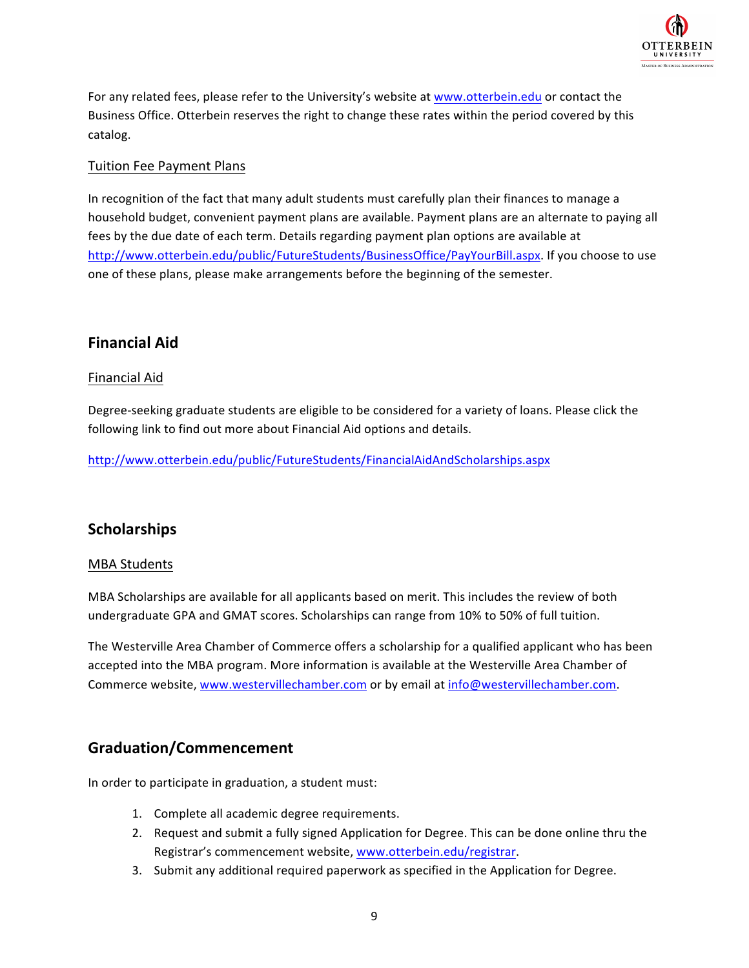

For any related fees, please refer to the University's website at www.otterbein.edu or contact the Business Office. Otterbein reserves the right to change these rates within the period covered by this catalog.

#### Tuition Fee Payment Plans

In recognition of the fact that many adult students must carefully plan their finances to manage a household budget, convenient payment plans are available. Payment plans are an alternate to paying all fees by the due date of each term. Details regarding payment plan options are available at http://www.otterbein.edu/public/FutureStudents/BusinessOffice/PayYourBill.aspx. If you choose to use one of these plans, please make arrangements before the beginning of the semester.

# **Financial Aid**

#### Financial Aid

Degree-seeking graduate students are eligible to be considered for a variety of loans. Please click the following link to find out more about Financial Aid options and details.

http://www.otterbein.edu/public/FutureStudents/FinancialAidAndScholarships.aspx

# **Scholarships**

#### **MBA** Students

MBA Scholarships are available for all applicants based on merit. This includes the review of both undergraduate GPA and GMAT scores. Scholarships can range from 10% to 50% of full tuition.

The Westerville Area Chamber of Commerce offers a scholarship for a qualified applicant who has been accepted into the MBA program. More information is available at the Westerville Area Chamber of Commerce website, www.westervillechamber.com or by email at info@westervillechamber.com.

# **Graduation/Commencement**

In order to participate in graduation, a student must:

- 1. Complete all academic degree requirements.
- 2. Request and submit a fully signed Application for Degree. This can be done online thru the Registrar's commencement website, www.otterbein.edu/registrar.
- 3. Submit any additional required paperwork as specified in the Application for Degree.